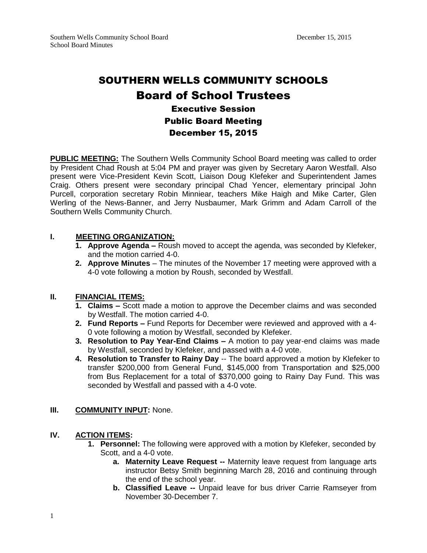# SOUTHERN WELLS COMMUNITY SCHOOLS Board of School Trustees Executive Session Public Board Meeting

# December 15, 2015

**PUBLIC MEETING:** The Southern Wells Community School Board meeting was called to order by President Chad Roush at 5:04 PM and prayer was given by Secretary Aaron Westfall. Also present were Vice-President Kevin Scott, Liaison Doug Klefeker and Superintendent James Craig. Others present were secondary principal Chad Yencer, elementary principal John Purcell, corporation secretary Robin Minniear, teachers Mike Haigh and Mike Carter, Glen Werling of the News-Banner, and Jerry Nusbaumer, Mark Grimm and Adam Carroll of the Southern Wells Community Church.

# **I. MEETING ORGANIZATION:**

- **1. Approve Agenda –** Roush moved to accept the agenda, was seconded by Klefeker, and the motion carried 4-0.
- **2. Approve Minutes** The minutes of the November 17 meeting were approved with a 4-0 vote following a motion by Roush, seconded by Westfall.

# **II. FINANCIAL ITEMS:**

- **1. Claims –** Scott made a motion to approve the December claims and was seconded by Westfall. The motion carried 4-0.
- **2. Fund Reports –** Fund Reports for December were reviewed and approved with a 4- 0 vote following a motion by Westfall, seconded by Klefeker.
- **3. Resolution to Pay Year-End Claims –** A motion to pay year-end claims was made by Westfall, seconded by Klefeker, and passed with a 4-0 vote.
- **4. Resolution to Transfer to Rainy Day** -- The board approved a motion by Klefeker to transfer \$200,000 from General Fund, \$145,000 from Transportation and \$25,000 from Bus Replacement for a total of \$370,000 going to Rainy Day Fund. This was seconded by Westfall and passed with a 4-0 vote.

#### **III. COMMUNITY INPUT:** None.

# **IV. ACTION ITEMS:**

- **1. Personnel:** The following were approved with a motion by Klefeker, seconded by Scott, and a 4-0 vote.
	- **a. Maternity Leave Request --** Maternity leave request from language arts instructor Betsy Smith beginning March 28, 2016 and continuing through the end of the school year.
	- **b. Classified Leave --** Unpaid leave for bus driver Carrie Ramseyer from November 30-December 7.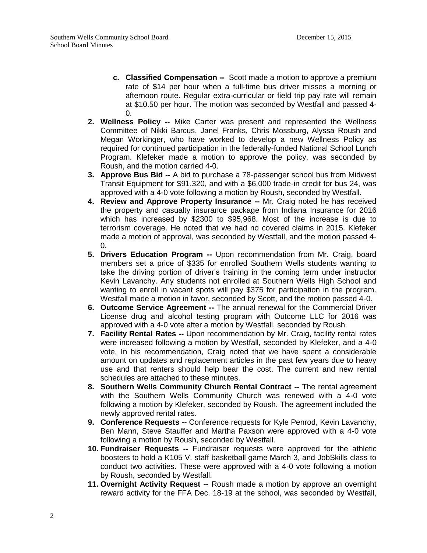- **c. Classified Compensation --** Scott made a motion to approve a premium rate of \$14 per hour when a full-time bus driver misses a morning or afternoon route. Regular extra-curricular or field trip pay rate will remain at \$10.50 per hour. The motion was seconded by Westfall and passed 4-  $\Omega$ .
- **2. Wellness Policy --** Mike Carter was present and represented the Wellness Committee of Nikki Barcus, Janel Franks, Chris Mossburg, Alyssa Roush and Megan Workinger, who have worked to develop a new Wellness Policy as required for continued participation in the federally-funded National School Lunch Program. Klefeker made a motion to approve the policy, was seconded by Roush, and the motion carried 4-0.
- **3. Approve Bus Bid --** A bid to purchase a 78-passenger school bus from Midwest Transit Equipment for \$91,320, and with a \$6,000 trade-in credit for bus 24, was approved with a 4-0 vote following a motion by Roush, seconded by Westfall.
- **4. Review and Approve Property Insurance --** Mr. Craig noted he has received the property and casualty insurance package from Indiana Insurance for 2016 which has increased by \$2300 to \$95,968. Most of the increase is due to terrorism coverage. He noted that we had no covered claims in 2015. Klefeker made a motion of approval, was seconded by Westfall, and the motion passed 4-  $\Omega$ .
- **5. Drivers Education Program --** Upon recommendation from Mr. Craig, board members set a price of \$335 for enrolled Southern Wells students wanting to take the driving portion of driver's training in the coming term under instructor Kevin Lavanchy. Any students not enrolled at Southern Wells High School and wanting to enroll in vacant spots will pay \$375 for participation in the program. Westfall made a motion in favor, seconded by Scott, and the motion passed 4-0.
- **6. Outcome Service Agreement --** The annual renewal for the Commercial Driver License drug and alcohol testing program with Outcome LLC for 2016 was approved with a 4-0 vote after a motion by Westfall, seconded by Roush.
- **7. Facility Rental Rates --** Upon recommendation by Mr. Craig, facility rental rates were increased following a motion by Westfall, seconded by Klefeker, and a 4-0 vote. In his recommendation, Craig noted that we have spent a considerable amount on updates and replacement articles in the past few years due to heavy use and that renters should help bear the cost. The current and new rental schedules are attached to these minutes.
- **8. Southern Wells Community Church Rental Contract --** The rental agreement with the Southern Wells Community Church was renewed with a 4-0 vote following a motion by Klefeker, seconded by Roush. The agreement included the newly approved rental rates.
- **9. Conference Requests --** Conference requests for Kyle Penrod, Kevin Lavanchy, Ben Mann, Steve Stauffer and Martha Paxson were approved with a 4-0 vote following a motion by Roush, seconded by Westfall.
- **10. Fundraiser Requests --** Fundraiser requests were approved for the athletic boosters to hold a K105 V. staff basketball game March 3, and JobSkills class to conduct two activities. These were approved with a 4-0 vote following a motion by Roush, seconded by Westfall.
- **11. Overnight Activity Request --** Roush made a motion by approve an overnight reward activity for the FFA Dec. 18-19 at the school, was seconded by Westfall,